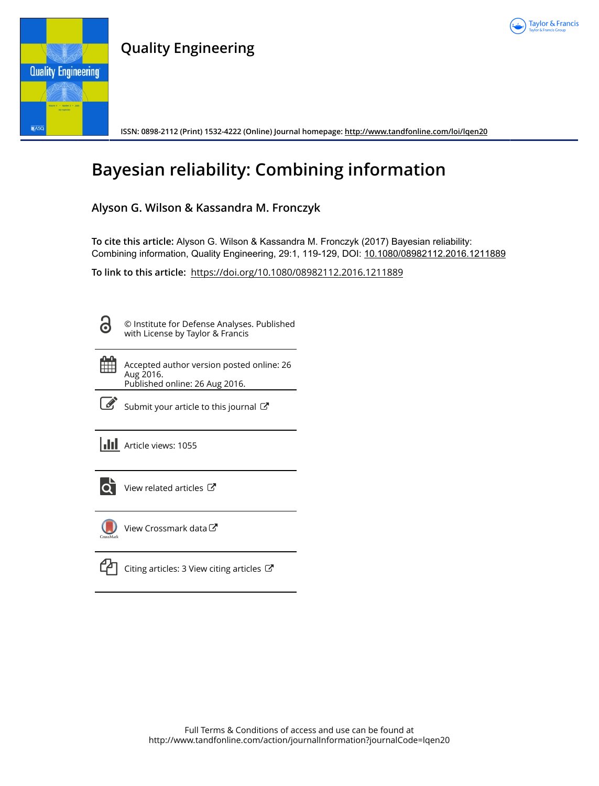

# **Quality Engineering**



**ISSN: 0898-2112 (Print) 1532-4222 (Online) Journal homepage:<http://www.tandfonline.com/loi/lqen20>**

# **Bayesian reliability: Combining information**

## **Alyson G. Wilson & Kassandra M. Fronczyk**

**To cite this article:** Alyson G. Wilson & Kassandra M. Fronczyk (2017) Bayesian reliability: Combining information, Quality Engineering, 29:1, 119-129, DOI: [10.1080/08982112.2016.1211889](http://www.tandfonline.com/action/showCitFormats?doi=10.1080/08982112.2016.1211889)

**To link to this article:** <https://doi.org/10.1080/08982112.2016.1211889>

3

© Institute for Defense Analyses. Published with License by Taylor & Francis

| 曲 | Accepted author version posted online: 26<br>Aug 2016.<br>Published online: 26 Aug 2016. |
|---|------------------------------------------------------------------------------------------|
|   |                                                                                          |



 $\overrightarrow{S}$  [Submit your article to this journal](http://www.tandfonline.com/action/authorSubmission?journalCode=lqen20&show=instructions)  $\overrightarrow{S}$ 

|  |  | <b>III</b> Article views: 1055 |
|--|--|--------------------------------|
|--|--|--------------------------------|



 $\overrightarrow{Q}$  [View related articles](http://www.tandfonline.com/doi/mlt/10.1080/08982112.2016.1211889)  $\overrightarrow{C}$ 



[View Crossmark data](http://crossmark.crossref.org/dialog/?doi=10.1080/08982112.2016.1211889&domain=pdf&date_stamp=2016-08-26)

[Citing articles: 3 View citing articles](http://www.tandfonline.com/doi/citedby/10.1080/08982112.2016.1211889#tabModule)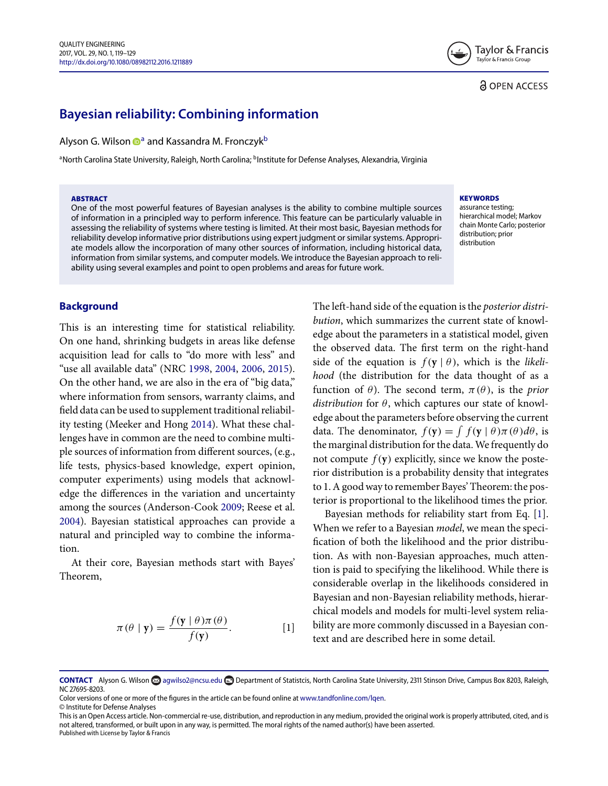### **& OPEN ACCESS**

# **Bayesian reliability: Combining information**

Alyson G. Wilson **D**<sup>[a](#page-1-0)</sup> and Kassandra M. Fronczyk<sup>b</sup>

<span id="page-1-0"></span><sup>a</sup>North Carolina State University, Raleigh, North Carolina; <sup>b</sup>Institute for Defense Analyses, Alexandria, Virginia

#### **ABSTRACT**

One of the most powerful features of Bayesian analyses is the ability to combine multiple sources of information in a principled way to perform inference. This feature can be particularly valuable in assessing the reliability of systems where testing is limited. At their most basic, Bayesian methods for reliability develop informative prior distributions using expert judgment or similar systems. Appropriate models allow the incorporation of many other sources of information, including historical data, information from similar systems, and computer models. We introduce the Bayesian approach to reliability using several examples and point to open problems and areas for future work.

#### **KEYWORDS**

assurance testing; hierarchical model; Markov chain Monte Carlo; posterior distribution; prior distribution

#### **Background**

This is an interesting time for statistical reliability. On one hand, shrinking budgets in areas like defense acquisition lead for calls to "do more with less" and "use all available data" (NRC [1998,](#page-11-0) [2004,](#page-11-1) [2006,](#page-11-2) [2015\)](#page-11-3). On the other hand, we are also in the era of "big data," where information from sensors, warranty claims, and field data can be used to supplement traditional reliability testing (Meeker and Hong [2014\)](#page-11-4). What these challenges have in common are the need to combine multiple sources of information from different sources, (e.g., life tests, physics-based knowledge, expert opinion, computer experiments) using models that acknowledge the differences in the variation and uncertainty among the sources (Anderson-Cook [2009;](#page-10-0) Reese et al. [2004\)](#page-11-5). Bayesian statistical approaches can provide a natural and principled way to combine the information.

At their core, Bayesian methods start with Bayes' Theorem,

$$
\pi(\theta | \mathbf{y}) = \frac{f(\mathbf{y} | \theta)\pi(\theta)}{f(\mathbf{y})}.
$$
 [1]

<span id="page-1-1"></span>The left-hand side of the equation is the *posterior distribution*, which summarizes the current state of knowledge about the parameters in a statistical model, given the observed data. The first term on the right-hand side of the equation is  $f(y | \theta)$ , which is the *likelihood* (the distribution for the data thought of as a function of  $\theta$ ). The second term,  $\pi(\theta)$ , is the *prior distribution* for θ, which captures our state of knowledge about the parameters before observing the current data. The denominator,  $f(\mathbf{y}) = \int f(\mathbf{y} | \theta) \pi(\theta) d\theta$ , is the marginal distribution for the data.We frequently do not compute  $f(y)$  explicitly, since we know the posterior distribution is a probability density that integrates to 1. A good way to remember Bayes' Theorem: the posterior is proportional to the likelihood times the prior.

<span id="page-1-2"></span>Bayesian methods for reliability start from Eq. [\[1\]](#page-1-2). When we refer to a Bayesian *model*, we mean the specification of both the likelihood and the prior distribution. As with non-Bayesian approaches, much attention is paid to specifying the likelihood. While there is considerable overlap in the likelihoods considered in Bayesian and non-Bayesian reliability methods, hierarchical models and models for multi-level system reliability are more commonly discussed in a Bayesian context and are described here in some detail.

Color versions of one or more of the figures in the article can be found online at [www.tandfonline.com/lqen.](http://www.tandfonline.com/lqen) © Institute for Defense Analyses

**CONTACT** Alyson G. Wilson **CO** agwilso2@ncsu.edu **Department of Statistcis, North Carolina State University, 2311 Stinson Drive, Campus Box 8203, Raleigh,** NC 27695-8203.

This is an Open Access article. Non-commercial re-use, distribution, and reproduction in any medium, provided the original work is properly attributed, cited, and is not altered, transformed, or built upon in any way, is permitted. The moral rights of the named author(s) have been asserted. Published with License by Taylor & Francis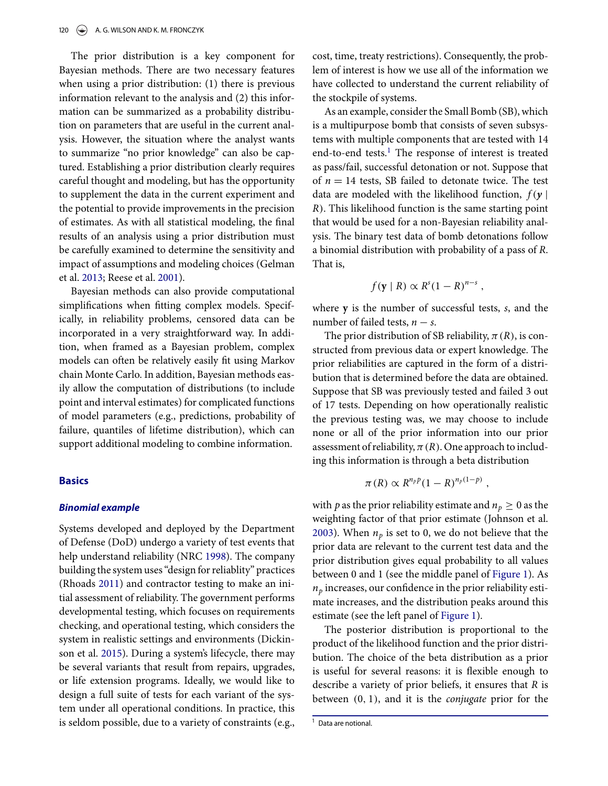The prior distribution is a key component for Bayesian methods. There are two necessary features when using a prior distribution: (1) there is previous information relevant to the analysis and (2) this information can be summarized as a probability distribution on parameters that are useful in the current analysis. However, the situation where the analyst wants to summarize "no prior knowledge" can also be captured. Establishing a prior distribution clearly requires careful thought and modeling, but has the opportunity to supplement the data in the current experiment and the potential to provide improvements in the precision of estimates. As with all statistical modeling, the final results of an analysis using a prior distribution must be carefully examined to determine the sensitivity and impact of assumptions and modeling choices (Gelman et al. [2013;](#page-10-1) Reese et al. [2001\)](#page-11-6).

Bayesian methods can also provide computational simplifications when fitting complex models. Specifically, in reliability problems, censored data can be incorporated in a very straightforward way. In addition, when framed as a Bayesian problem, complex models can often be relatively easily fit using Markov chain Monte Carlo. In addition, Bayesian methods easily allow the computation of distributions (to include point and interval estimates) for complicated functions of model parameters (e.g., predictions, probability of failure, quantiles of lifetime distribution), which can support additional modeling to combine information.

#### **Basics**

#### *Binomial example*

Systems developed and deployed by the Department of Defense (DoD) undergo a variety of test events that help understand reliability (NRC [1998\)](#page-11-0). The company building the system uses "design for reliablity" practices (Rhoads [2011\)](#page-11-7) and contractor testing to make an initial assessment of reliability. The government performs developmental testing, which focuses on requirements checking, and operational testing, which considers the system in realistic settings and environments (Dickinson et al. [2015\)](#page-10-2). During a system's lifecycle, there may be several variants that result from repairs, upgrades, or life extension programs. Ideally, we would like to design a full suite of tests for each variant of the system under all operational conditions. In practice, this is seldom possible, due to a variety of constraints (e.g., cost, time, treaty restrictions). Consequently, the problem of interest is how we use all of the information we have collected to understand the current reliability of the stockpile of systems.

As an example, consider the Small Bomb (SB), which is a multipurpose bomb that consists of seven subsystems with multiple components that are tested with 14 end-to-end tests.<sup>[1](#page-2-0)</sup> The response of interest is treated as pass/fail, successful detonation or not. Suppose that of  $n = 14$  tests, SB failed to detonate twice. The test data are modeled with the likelihood function, *<sup>f</sup>*(*<sup>y</sup>* <sup>|</sup> *R*). This likelihood function is the same starting point that would be used for a non-Bayesian reliability analysis. The binary test data of bomb detonations follow a binomial distribution with probability of a pass of *R*. That is,

$$
f(\mathbf{y} \mid R) \propto R^{s}(1 - R)^{n - s},
$$

where **y** is the number of successful tests, *s*, and the number of failed tests,  $n - s$ .

The prior distribution of SB reliability,  $\pi(R)$ , is constructed from previous data or expert knowledge. The prior reliabilities are captured in the form of a distribution that is determined before the data are obtained. Suppose that SB was previously tested and failed 3 out of 17 tests. Depending on how operationally realistic the previous testing was, we may choose to include none or all of the prior information into our prior assessment of reliability,  $\pi(R)$ . One approach to including this information is through a beta distribution

$$
\pi(R) \propto R^{n_p p} (1 - R)^{n_p(1-p)},
$$

with *p* as the prior reliability estimate and  $n_p \geq 0$  as the weighting factor of that prior estimate (Johnson et al. [2003\)](#page-11-8). When  $n_p$  is set to 0, we do not believe that the prior data are relevant to the current test data and the prior distribution gives equal probability to all values between 0 and 1 (see the middle panel of [Figure 1\)](#page-3-0). As  $n_p$  increases, our confidence in the prior reliability estimate increases, and the distribution peaks around this estimate (see the left panel of [Figure 1\)](#page-3-0).

The posterior distribution is proportional to the product of the likelihood function and the prior distribution. The choice of the beta distribution as a prior is useful for several reasons: it is flexible enough to describe a variety of prior beliefs, it ensures that *R* is between (0, 1), and it is the *conjugate* prior for the

<span id="page-2-0"></span><sup>&</sup>lt;sup>1</sup> Data are notional.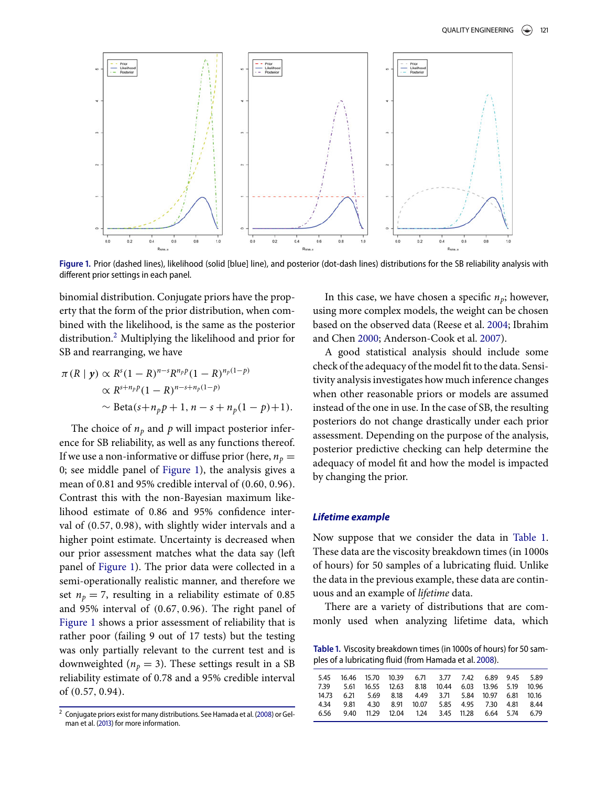<span id="page-3-0"></span>

Figure 1. Prior (dashed lines), likelihood (solid [blue] line), and posterior (dot-dash lines) distributions for the SB reliability analysis with different prior settings in each panel.

binomial distribution. Conjugate priors have the property that the form of the prior distribution, when combined with the likelihood, is the same as the posterior distribution.<sup>[2](#page-3-1)</sup> Multiplying the likelihood and prior for SB and rearranging, we have

$$
\pi(R \mid \mathbf{y}) \propto R^{s} (1 - R)^{n - s} R^{n_{p}}(1 - R)^{n_{p}(1 - p)}
$$
  
 
$$
\propto R^{s + n_{p}}(1 - R)^{n - s + n_{p}(1 - p)}
$$
  
 
$$
\sim \text{Beta}(s + n_{p}p + 1, n - s + n_{p}(1 - p) + 1).
$$

The choice of  $n_p$  and  $p$  will impact posterior inference for SB reliability, as well as any functions thereof. If we use a non-informative or diffuse prior (here,  $n_p =$ 0; see middle panel of [Figure 1\)](#page-3-0), the analysis gives a mean of 0.81 and 95% credible interval of (0.60, 0.96). Contrast this with the non-Bayesian maximum likelihood estimate of 0.86 and 95% confidence interval of (0.57, 0.98), with slightly wider intervals and a higher point estimate. Uncertainty is decreased when our prior assessment matches what the data say (left panel of [Figure 1\)](#page-3-0). The prior data were collected in a semi-operationally realistic manner, and therefore we set  $n_p = 7$ , resulting in a reliability estimate of 0.85 and 95% interval of (0.67, 0.96). The right panel of [Figure 1](#page-3-0) shows a prior assessment of reliability that is rather poor (failing 9 out of 17 tests) but the testing was only partially relevant to the current test and is downweighted ( $n_p = 3$ ). These settings result in a SB reliability estimate of 0.78 and a 95% credible interval of (0.57, 0.94).

In this case, we have chosen a specific  $n_p$ ; however, using more complex models, the weight can be chosen based on the observed data (Reese et al. [2004;](#page-11-5) Ibrahim and Chen [2000;](#page-11-10) Anderson-Cook et al. [2007\)](#page-10-3).

A good statistical analysis should include some check of the adequacy of the model fit to the data. Sensitivity analysis investigates how much inference changes when other reasonable priors or models are assumed instead of the one in use. In the case of SB, the resulting posteriors do not change drastically under each prior assessment. Depending on the purpose of the analysis, posterior predictive checking can help determine the adequacy of model fit and how the model is impacted by changing the prior.

#### *Lifetime example*

Now suppose that we consider the data in [Table 1.](#page-3-2) These data are the viscosity breakdown times (in 1000s of hours) for 50 samples of a lubricating fluid. Unlike the data in the previous example, these data are continuous and an example of *lifetime* data.

Ther[e](#page-4-0) are a variety of distributions that are commonly used when analyzing lifetime data, which

<span id="page-3-2"></span>Table 1. Viscosity breakdown times (in 1000s of hours) for 50 sam-ples of a lubricating fluid (from Hamada et al. 2008[\)](#page-11-9).

|      | 5.45 16.46 15.70 10.39 6.71 3.77 7.42 6.89 9.45 5.89          |  |                                               |  |  |      |
|------|---------------------------------------------------------------|--|-----------------------------------------------|--|--|------|
|      | 7.39 5.61 16.55 12.63 8.18 10.44 6.03 13.96 5.19 10.96        |  |                                               |  |  |      |
|      | 14.73  6.21  5.69  8.18  4.49  3.71  5.84  10.97  6.81  10.16 |  |                                               |  |  |      |
| 4.34 |                                                               |  | 9.81 4.30 8.91 10.07 5.85 4.95 7.30 4.81 8.44 |  |  |      |
| 6.56 |                                                               |  | 9.40 11.29 12.04 1.24 3.45 11.28 6.64 5.74    |  |  | 6.79 |
|      |                                                               |  |                                               |  |  |      |

<span id="page-3-1"></span> $2$  Conjugate priors exist for many distributions. See Hamada et al. (2008) or Gelman et al. (2013) for more information.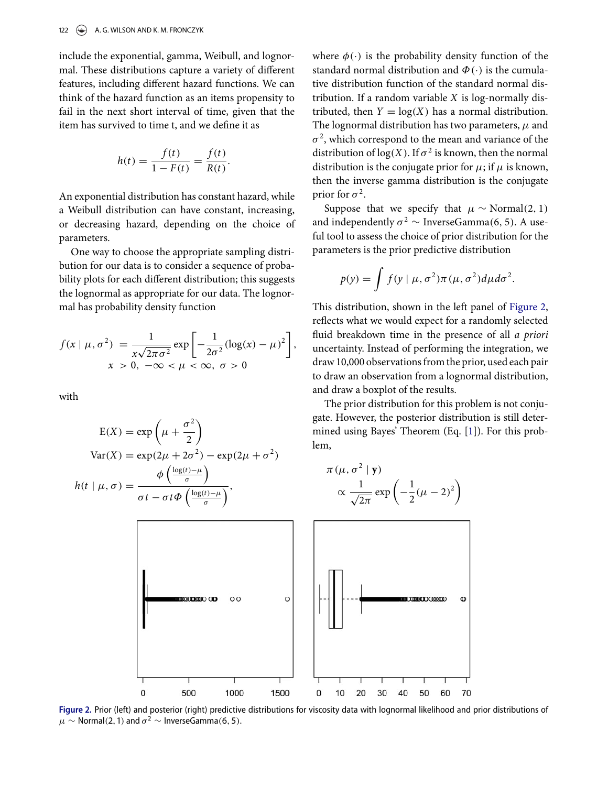include the exponential, gamma, Weibull, and lognormal. These distributions capture a variety of different features, including different hazard functions. We can think of the hazard function as an items propensity to fail in the next short interval of time, given that the item has survived to time t, and we define it as

$$
h(t) = \frac{f(t)}{1 - F(t)} = \frac{f(t)}{R(t)}.
$$

An exponential distribution has constant hazard, while a Weibull distribution can have constant, increasing, or decreasing hazard, depending on the choice of parameters.

One way to choose the appropriate sampling distribution for our data is to consider a sequence of probability plots for each different distribution; this suggests the lognormal as appropriate for our data. The lognormal has probability density function

$$
f(x \mid \mu, \sigma^2) = \frac{1}{x\sqrt{2\pi\sigma^2}} \exp\left[-\frac{1}{2\sigma^2} (\log(x) - \mu)^2\right],
$$
  

$$
x > 0, -\infty < \mu < \infty, \sigma > 0
$$

with

$$
E(X) = \exp\left(\mu + \frac{\sigma^2}{2}\right)
$$
  
Var(X) =  $\exp(2\mu + 2\sigma^2) - \exp(2\mu + \sigma^2)$   

$$
h(t \mid \mu, \sigma) = \frac{\phi\left(\frac{\log(t) - \mu}{\sigma}\right)}{\sigma t - \sigma t \phi\left(\frac{\log(t) - \mu}{\sigma}\right)},
$$

where  $\phi(\cdot)$  is the probability density function of the standard normal distribution and  $\Phi(\cdot)$  is the cumulative distribution function of the standard normal distribution. If a random variable *X* is log-normally distributed, then  $Y = \log(X)$  has a normal distribution. The lognormal distribution has two parameters,  $\mu$  and  $\sigma^2$ , which correspond to the mean and variance of the distribution of  $log(X)$ . If  $\sigma^2$  is known, then the normal distribution is the conjugate prior for  $\mu$ ; if  $\mu$  is known, then the inverse gamma distribution is the conjugate prior for  $\sigma^2$ .

Suppose that we specify that  $\mu \sim \text{Normal}(2, 1)$ and independently  $\sigma^2 \sim \text{InverseGamma}(6, 5)$ . A useful tool to assess the choice of prior distribution for the parameters is the prior predictive distribution

$$
p(y) = \int f(y \mid \mu, \sigma^2) \pi(\mu, \sigma^2) d\mu d\sigma^2.
$$

This distribution, shown in the left panel of [Figure 2,](#page-4-0) reflects what we would expect for a randomly selected fluid breakdown time in the presence of all *a priori* uncertainty. Instead of performing the integration, we draw 10,000 observations from the prior, used each pair to draw an observation from a lognormal distribution, and draw a boxplot of the results.

Th[e](#page-5-0) prior distribution for this problem is not conjugate. However, the posterior distribution is still determined using Bayes' Theorem (Eq. [\[1\]](#page-1-2)). For this problem,

<span id="page-4-0"></span>

Figure 2. Prior (left) and posterior (right) predictive distributions for viscosity data with lognormal likelihood and prior distributions of  $\mu \sim$  Normal(2, 1) and  $\sigma^2 \sim$  InverseGamma(6, 5).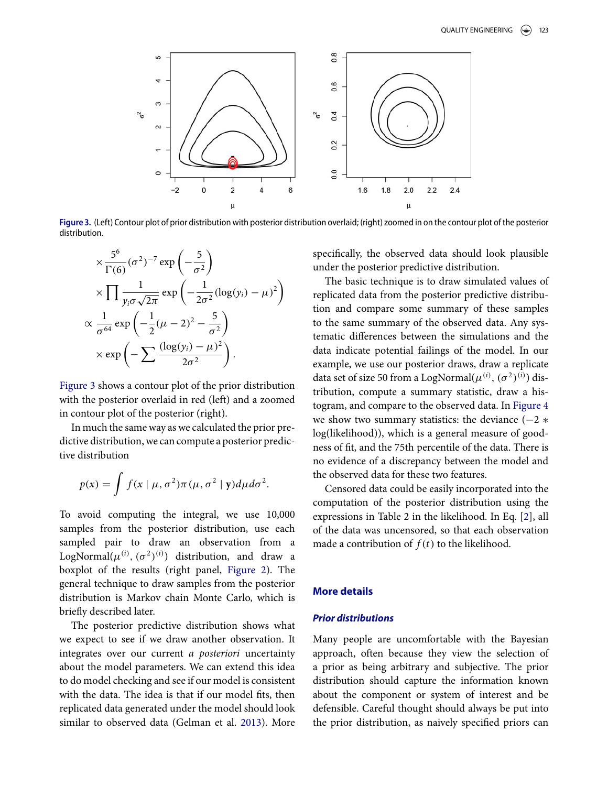<span id="page-5-0"></span>

Figure 3. (Left) Contour plot of prior distribution with posterior distribution overlaid; (right) zoomed in on the contour plot of the posterior distribution.

$$
\times \frac{5^6}{\Gamma(6)} (\sigma^2)^{-7} \exp\left(-\frac{5}{\sigma^2}\right)
$$
  
 
$$
\times \prod \frac{1}{y_i \sigma \sqrt{2\pi}} \exp\left(-\frac{1}{2\sigma^2} (\log(y_i) - \mu)^2\right)
$$
  
 
$$
\propto \frac{1}{\sigma^{64}} \exp\left(-\frac{1}{2}(\mu - 2)^2 - \frac{5}{\sigma^2}\right)
$$
  
 
$$
\times \exp\left(-\sum \frac{(\log(y_i) - \mu)^2}{2\sigma^2}\right).
$$

[Figure 3](#page-5-0) shows a contour plot of the prior distribution with the posterior overlaid in red (left) and a zoomed in contour plot of the posterior (right).

In much the same way as we calculated the prior predictive distribution, we can compute a posterior predictive distribution

$$
p(x) = \int f(x \mid \mu, \sigma^2) \pi(\mu, \sigma^2 \mid \mathbf{y}) d\mu d\sigma^2.
$$

To avoid computing the integral, we use 10,000 samples from the posterior distribution, use each sampled pair to draw an observation from a LogNormal $(\mu^{(i)}, (\sigma^2)^{(i)})$  distribution, and draw a boxplot of the results (right panel, [Figure 2\)](#page-4-0). The general technique to draw samples from the posterior distribution is Markov chain Monte Carlo, which is briefly described later.

The posterior predictive distribution shows what we expect to see if we draw another observation. It integrates over our current *a posteriori* uncertainty about the model parameters. We can extend this idea to do model checking and see if our model is consistent with the data. The idea is that if our model fits, then replicated data generated under the model should look similar to observed data (Gelman et al. [2013\)](#page-10-1). More

specifically, the observed data should look plausible under the posterior predictive distribution.

The basic technique is to draw simulated values of replicated data from the posterior predictive distribution and compare some summary of these samples to the same summary of the observed data. Any systematic differences between the simulations and the data indicate potential failings of the model. In our example, we use our posterior draws, draw a replicate data set of size 50 from a LogNormal $(\mu^{(i)}, (\sigma^2)^{(i)})$  distribution, compute a summary statistic, draw a histogram, and compare to the observed data. In [Figure 4](#page-6-0) we show two summary statistics: the deviance  $(-2 \ast$ log(likelihood)), which is a general measure of goodness of fit, and the 75th percentile of the data. There is no evidence of a discrepancy between the model and the observed data for these two features.

Censored data could be easily incorporated into the computation of the posterior distribution using the expressions in Table 2 in the likelihood. In Eq. [\[2\]](#page-7-0), all of the data was uncensored, so that each observation made a contribution of  $f(t)$  to the likelihood.

## **More details**

#### *Prior distributions*

Many people are uncomfortable with the Bayesian approach, often because they view the selection of a prior as being arbitrary and subjective. The prior distribution should capture the information known about the component or system of interest and be defensible. Careful thought should always be put into the prior distribution, as naively specified priors can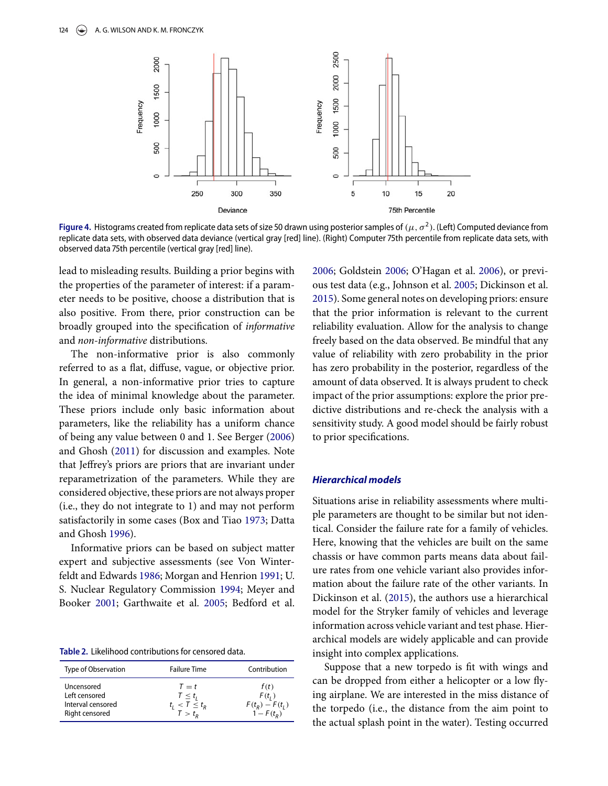<span id="page-6-0"></span>

**Figure 4.** Histograms created from replicate data sets of size 50 drawn using posterior samples of  $(\mu, \sigma^2)$ . (Left) Computed deviance from replicate data sets, with observed data deviance (vertical gray [red] line). (Right) Computer 75th percentile from replicate data sets, with observed data 75th percentile (vertical gray [red] line).

lead to misleading results. Building a prior begins with the properties of the parameter of interest: if a parameter needs to be positive, choose a distribution that is also positive. From there, prior construction can be broadly grouped into the specification of *informative* and *non-informative* distributions.

The non-informative prior is also commonly referred to as a flat, diffuse, vague, or objective prior. In general, a non-informative prior tries to capture the idea of minimal knowledge about the parameter. These priors include only basic information about parameters, like the reliability has a uniform chance of being any value between 0 and 1. See Berger [\(2006\)](#page-10-4) and Ghosh [\(2011\)](#page-10-5) for discussion and examples. Note that Jeffrey's priors are priors that are invariant under reparametrization of the parameters. While they are considered objective, these priors are not always proper (i.e., they do not integrate to 1) and may not perform satisfactorily in some cases (Box and Tiao [1973;](#page-10-6) Datta and Ghosh [1996\)](#page-10-7)[.](#page-6-1)

Informative priors can be based on subject matter expert and subjective assessments (see Von Winterfeldt and Edwards [1986;](#page-11-11) Morgan and Henrion [1991;](#page-11-12) U. S. Nuclear Regulatory Commission [1994;](#page-11-13) Meyer and Booker [2001;](#page-11-14) Garthwaite et al. [2005;](#page-10-8) Bedford et al.

<span id="page-6-1"></span>Table 2. Likelihood contributions for censored data.

| Type of Observation | <b>Failure Time</b> | Contribution      |
|---------------------|---------------------|-------------------|
| Uncensored          | $T = t$             | f(t)              |
| Left censored       | $T \leq t_i$        | $F(t_i)$          |
| Interval censored   | $t_i < T \leq t_R$  | $F(t_R) - F(t_L)$ |
| Right censored      | $T > t_{\alpha}$    | $1 - F(t_0)$      |

[2006;](#page-10-9) Goldstein [2006;](#page-10-10) O'Hagan et al. [2006\)](#page-11-15), or previous test data (e.g., Johnson et al. [2005;](#page-11-16) Dickinson et al. [2015\)](#page-10-2). Some general notes on developing priors: ensure that the prior information is relevant to the current reliability evaluation. Allow for the analysis to change freely based on the data observed. Be mindful that any value of reliability with zero probability in the prior has zero probability in the posterior, regardless of the amount of data observed. It is always prudent to check impact of the prior assumptions: explore the prior predictive distributions and re-check the analysis with a sensitivity study. A good model should be fairly robust to prior specifications.

#### *Hierarchical models*

Situations arise in reliability assessments where multiple parameters are thought to be similar but not identical. Consider the failure rate for a family of vehicles. Here, knowing that the vehicles are built on the same chassis or have common parts means data about failure rates from one vehicle variant also provides information about the failure rate of the other variants. In Dickinson et al. [\(2015\)](#page-10-2), the authors use a hierarchical model for the Stryker family of vehicles and leverage information across vehicle variant and test phase. Hierarchical models are widely applicable and can provide insight into complex applications.

Suppose that a new torpedo is fit with wings and can be dropped from either a helicopter or a low flying airplane. We are interested in the miss distance of the torpedo (i.e., the distance from the aim point to the actual splash point in the water). Testing occurred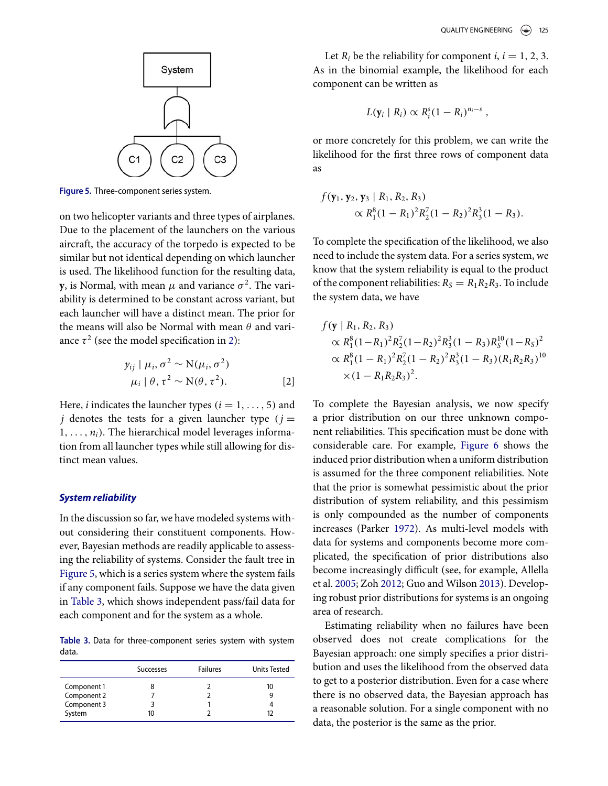<span id="page-7-1"></span>

Figure 5. Three-component series system.

on two helicopter variants and three types of airplanes. Due to the placement of the launchers on the various aircraft, the accuracy of the torpedo is expected to be similar but not identical depending on which launcher is used. The likelihood function for the resulting data, **y**, is Normal, with mean  $\mu$  and variance  $\sigma^2$ . The variability is determined to be constant across variant, but each launcher will have a distinct mean. The prior for the means will also be Normal with mean  $\theta$  and variance  $\tau^2$  (see the model specification in [2\)](#page-7-0):

$$
y_{ij} | \mu_i, \sigma^2 \sim N(\mu_i, \sigma^2)
$$
  

$$
\mu_i | \theta, \tau^2 \sim N(\theta, \tau^2).
$$
 [2]

Here, *i* indicates the launcher types ( $i = 1, \ldots, 5$ ) and *j* denotes the tests for a given launcher type ( $j =$  $1, \ldots, n_i$ ). The hierarchical model leverages information from all launcher types while still allowing for distinct mean values.

#### *System reliability*

In the discussion so far, we have modeled systems without considering their constituent components. However, Bayesian methods are readily applicable to assessing the reliability of systems. Consider the fault tree in [Figure 5,](#page-7-1) which is a series system where the system fails if any component fails. Suppose we have the data given in [Table 3,](#page-7-2) which shows independent pass/fail data for each component and for the system as a whole.

<span id="page-7-2"></span>Table 3. Data for three-component series system with system data.

|             | <b>Successes</b> | <b>Failures</b> | Units Tested |
|-------------|------------------|-----------------|--------------|
| Component 1 |                  |                 | 10           |
| Component 2 |                  |                 |              |
| Component 3 |                  |                 |              |
| System      |                  |                 |              |

Let  $R_i$  be the reliability for component *i*,  $i = 1, 2, 3$ . As in the binomial example, the likelihood for each component can be written as

$$
L(\mathbf{y}_i \mid R_i) \propto R_i^s (1 - R_i)^{n_i - s} ,
$$

or more concretely for this problem, we can write the likelihood for the first three rows of component data as

$$
f(\mathbf{y}_1, \mathbf{y}_2, \mathbf{y}_3 | R_1, R_2, R_3)
$$
  
  $\propto R_1^8 (1 - R_1)^2 R_2^7 (1 - R_2)^2 R_3^3 (1 - R_3).$ 

To complete the specification of the likelihood, we also need to include the system data. For a series system, we know that the system reliability is equal to the product of the component reliabilities:  $R_S = R_1 R_2 R_3$ . To include the system data, we have

$$
f(\mathbf{y} \mid R_1, R_2, R_3)
$$
  
\n
$$
\propto R_1^8 (1 - R_1)^2 R_2^7 (1 - R_2)^2 R_3^3 (1 - R_3) R_5^{10} (1 - R_5)^2
$$
  
\n
$$
\propto R_1^8 (1 - R_1)^2 R_2^7 (1 - R_2)^2 R_3^3 (1 - R_3) (R_1 R_2 R_3)^{10}
$$
  
\n
$$
\times (1 - R_1 R_2 R_3)^2.
$$

<span id="page-7-0"></span>To complete the Bayesian analysis, we now specify a prior distribution on our three unknown component reliabilities. This specification must be done with considerable care. For example, [Figure 6](#page-8-0) shows the induced prior distribution when a uniform distribution is assumed for the three component reliabilities. Note that the prior is somewhat pessimistic about the prior distribution of system reliability, and this pessimism is only compounded as the number of components increases (Parker [1972\)](#page-11-17). As multi-level models with data for systems and components become more complicated, the specification of prior distributions also become increasingly difficult (see, for example, Allella et al. [2005;](#page-10-11) Zoh [2012;](#page-11-18) Guo and Wilson [2013\)](#page-10-12). Developing robust prior distributions for systems is an ongoing area of research.

Estimating reliability when no failures have been observed does not create complications for the Bayesian approach: one simply specifies a prior distribution and uses the likelihood from the observed data to get to a posterior distribution. Even for a case where there is no observed data, the Bayesian approach has a reasonable solution. For a single component with no data, the posterior is the same as the prior.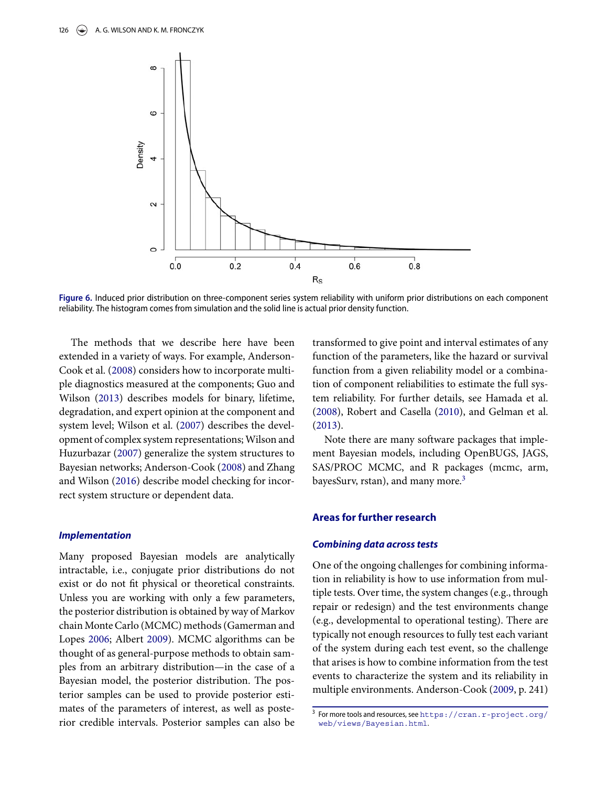<span id="page-8-0"></span>

Figure 6. Induced prior distribution on three-component series system reliability with uniform prior distributions on each component reliability. The histogram comes from simulation and the solid line is actual prior density function.

The methods that we describe here have been extended in a variety of ways. For example, Anderson-Cook et al. [\(2008\)](#page-10-13) considers how to incorporate multiple diagnostics measured at the components; Guo and Wilson [\(2013\)](#page-10-12) describes models for binary, lifetime, degradation, and expert opinion at the component and system level; Wilson et al. [\(2007\)](#page-11-19) describes the development of complex system representations; Wilson and Huzurbazar [\(2007\)](#page-11-20) generalize the system structures to Bayesian networks; Anderson-Cook [\(2008\)](#page-10-14) and Zhang and Wilson [\(2016\)](#page-11-21) describe model checking for incorrect system structure or dependent data.

#### *Implementation*

Many proposed Bayesian models are analytically intractable, i.e., conjugate prior distributions do not exist or do not fit physical or theoretical constraints. Unless you are working with only a few parameters, the posterior distribution is obtained by way of Markov chain Monte Carlo (MCMC) methods (Gamerman and Lopes [2006;](#page-10-15) Albert [2009\)](#page-10-16). MCMC algorithms can be thought of as general-purpose methods to obtain samples from an arbitrary distribution—in the case of a Bayesian model, the posterior distribution. The posterior samples can be used to provide posterior estimates of the parameters of interest, as well as posterior credible intervals. Posterior samples can also be transformed to give point and interval estimates of any function of the parameters, like the hazard or survival function from a given reliability model or a combination of component reliabilities to estimate the full system reliability. For further details, see Hamada et al. [\(2008\)](#page-11-9), Robert and Casella [\(2010\)](#page-11-22), and Gelman et al. [\(2013\)](#page-10-1).

Note there are many software packages that implement Bayesian models, including OpenBUGS, JAGS, SAS/PROC MCMC, and R packages (mcmc, arm, bayesSurv, rstan), and many more. $3$ 

#### **Areas for further research**

#### *Combining data across tests*

One of the ongoing challenges for combining information in reliability is how to use information from multiple tests. Over time, the system changes (e.g., through repair or redesign) and the test environments change (e.g., developmental to operational testing). There are typically not enough resources to fully test each variant of the system during each test event, so the challenge that arises is how to combine information from the test events to characterize the system and its reliability in multiple environments. Anderson-Cook [\(2009,](#page-10-0) p. 241)

<span id="page-8-1"></span><sup>&</sup>lt;sup>3</sup> For more tools and resources, see [https://cran.r-project.org/](https://cran.r-project.org/web/views/Bayesian.html) web/views/Bayesian.html.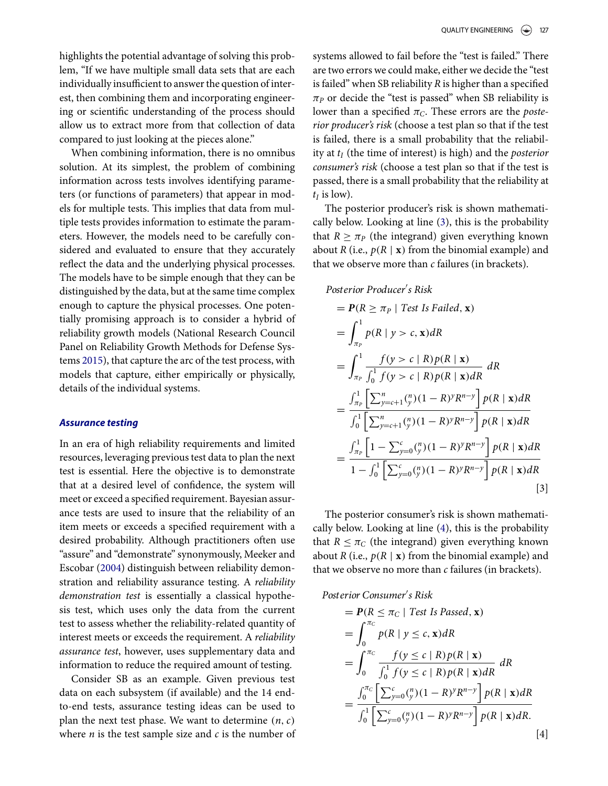highlights the potential advantage of solving this problem, "If we have multiple small data sets that are each individually insufficient to answer the question of interest, then combining them and incorporating engineering or scientific understanding of the process should allow us to extract more from that collection of data compared to just looking at the pieces alone."

When combining information, there is no omnibus solution. At its simplest, the problem of combining information across tests involves identifying parameters (or functions of parameters) that appear in models for multiple tests. This implies that data from multiple tests provides information to estimate the parameters. However, the models need to be carefully considered and evaluated to ensure that they accurately reflect the data and the underlying physical processes. The models have to be simple enough that they can be distinguished by the data, but at the same time complex enough to capture the physical processes. One potentially promising approach is to consider a hybrid of reliability growth models (National Research Council Panel on Reliability Growth Methods for Defense Systems [2015\)](#page-11-3), that capture the arc of the test process, with models that capture, either empirically or physically, details of the individual systems.

#### *Assurance testing*

In an era of high reliability requirements and limited resources, leveraging previous test data to plan the next test is essential. Here the objective is to demonstrate that at a desired level of confidence, the system will meet or exceed a specified requirement. Bayesian assurance tests are used to insure that the reliability of an item meets or exceeds a specified requirement with a desired probability. Although practitioners often use "assure" and "demonstrate" synonymously, Meeker and Escobar [\(2004\)](#page-11-23) distinguish between reliability demonstration and reliability assurance testing. A *reliability demonstration test* is essentially a classical hypothesis test, which uses only the data from the current test to assess whether the reliability-related quantity of interest meets or exceeds the requirement. A *reliability assurance test*, however, uses supplementary data and information to reduce the required amount of testing.

Consider SB as an example. Given previous test data on each subsystem (if available) and the 14 endto-end tests, assurance testing ideas can be used to plan the next test phase. We want to determine (*n*,*c*) where  $n$  is the test sample size and  $c$  is the number of systems allowed to fail before the "test is failed." There are two errors we could make, either we decide the "test is failed" when SB reliability *R* is higher than a specified  $\pi_P$  or decide the "test is passed" when SB reliability is lower than a specified  $\pi_C$ . These errors are the *posterior producer's risk* (choose a test plan so that if the test is failed, there is a small probability that the reliability at *tI* (the time of interest) is high) and the *posterior consumer's risk* (choose a test plan so that if the test is passed, there is a small probability that the reliability at  $t_I$  is low).

The posterior producer's risk is shown mathematically below. Looking at line [\(3\)](#page-9-0), this is the probability that  $R \geq \pi_P$  (the integrand) given everything known about *R* (i.e.,  $p(R | x)$  from the binomial example) and that we observe more than *c* failures (in brackets).

*Posterior Producer s Risk*

$$
= P(R \ge \pi_P | Test \text{ Is Failed, x})
$$
  
\n
$$
= \int_{\pi_P}^1 p(R | y > c, x) dR
$$
  
\n
$$
= \int_{\pi_P}^1 \frac{f(y > c | R) p(R | x)}{\int_0^1 f(y > c | R) p(R | x) dR} dR
$$
  
\n
$$
= \frac{\int_{\pi_P}^1 \left[ \sum_{y=c+1}^n {n \choose y} (1 - R)^y R^{n-y} \right] p(R | x) dR}{\int_0^1 \left[ \sum_{y=c+1}^n {n \choose y} (1 - R)^y R^{n-y} \right] p(R | x) dR}
$$
  
\n
$$
= \frac{\int_{\pi_P}^1 \left[ 1 - \sum_{y=0}^c {n \choose y} (1 - R)^y R^{n-y} \right] p(R | x) dR}{1 - \int_0^1 \left[ \sum_{y=0}^c {n \choose y} (1 - R)^y R^{n-y} \right] p(R | x) dR}
$$
  
\n[3]

<span id="page-9-0"></span>The posterior consumer's risk is shown mathematically below. Looking at line [\(4\)](#page-9-1), this is the probability that  $R \leq \pi_C$  (the integrand) given everything known about *R* (i.e.,  $p(R | x)$  from the binomial example) and that we observe no more than *c* failures (in brackets).

*Posterior Consumer s Risk*

<span id="page-9-1"></span>
$$
= P(R \le \pi_C | Test \text{ Is Passed, } \mathbf{x})
$$
  
\n
$$
= \int_0^{\pi_C} p(R | y \le c, \mathbf{x}) dR
$$
  
\n
$$
= \int_0^{\pi_C} \frac{f(y \le c | R) p(R | \mathbf{x})}{\int_0^1 f(y \le c | R) p(R | \mathbf{x}) dR} dR
$$
  
\n
$$
= \frac{\int_0^{\pi_C} \left[ \sum_{y=0}^c {n \choose y} (1 - R)^y R^{n-y} \right] p(R | \mathbf{x}) dR}{\int_0^1 \left[ \sum_{y=0}^c {n \choose y} (1 - R)^y R^{n-y} \right] p(R | \mathbf{x}) dR} [4]
$$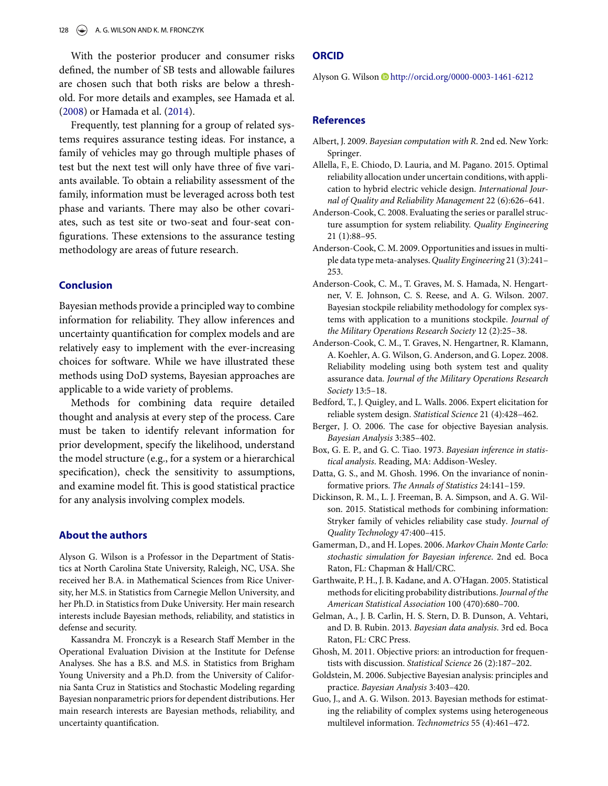With the posterior producer and consumer risks defined, the number of SB tests and allowable failures are chosen such that both risks are below a threshold. For more details and examples, see Hamada et al. [\(2008\)](#page-11-9) or Hamada et al. [\(2014\)](#page-11-24).

Frequently, test planning for a group of related systems requires assurance testing ideas. For instance, a family of vehicles may go through multiple phases of test but the next test will only have three of five variants available. To obtain a reliability assessment of the family, information must be leveraged across both test phase and variants. There may also be other covariates, such as test site or two-seat and four-seat configurations. These extensions to the assurance testing methodology are areas of future research.

#### **Conclusion**

Bayesian methods provide a principled way to combine information for reliability. They allow inferences and uncertainty quantification for complex models and are relatively easy to implement with the ever-increasing choices for software. While we have illustrated these methods using DoD systems, Bayesian approaches are applicable to a wide variety of problems.

Methods for combining data require detailed thought and analysis at every step of the process. Care must be taken to identify relevant information for prior development, specify the likelihood, understand the model structure (e.g., for a system or a hierarchical specification), check the sensitivity to assumptions, and examine model fit. This is good statistical practice for any analysis involving complex models.

#### **About the authors**

Alyson G. Wilson is a Professor in the Department of Statistics at North Carolina State University, Raleigh, NC, USA. She received her B.A. in Mathematical Sciences from Rice University, her M.S. in Statistics from Carnegie Mellon University, and her Ph.D. in Statistics from Duke University. Her main research interests include Bayesian methods, reliability, and statistics in defense and security.

Kassandra M. Fronczyk is a Research Staff Member in the Operational Evaluation Division at the Institute for Defense Analyses. She has a B.S. and M.S. in Statistics from Brigham Young University and a Ph.D. from the University of California Santa Cruz in Statistics and Stochastic Modeling regarding Bayesian nonparametric priors for dependent distributions. Her main research interests are Bayesian methods, reliability, and uncertainty quantification.

#### **ORCID**

Alyson G. Wilson D<http://orcid.org/0000-0003-1461-6212>

### **References**

- <span id="page-10-16"></span>Albert, J. 2009. *Bayesian computation with R*. 2nd ed. New York: Springer.
- <span id="page-10-11"></span>Allella, F., E. Chiodo, D. Lauria, and M. Pagano. 2015. Optimal reliability allocation under uncertain conditions, with application to hybrid electric vehicle design. *International Journal of Quality and Reliability Management* 22 (6):626–641.
- <span id="page-10-14"></span>Anderson-Cook, C. 2008. Evaluating the series or parallel structure assumption for system reliability. *Quality Engineering* 21 (1):88–95.
- <span id="page-10-0"></span>Anderson-Cook, C. M. 2009. Opportunities and issues in multiple data type meta-analyses. *Quality Engineering* 21 (3):241– 253.
- <span id="page-10-3"></span>Anderson-Cook, C. M., T. Graves, M. S. Hamada, N. Hengartner, V. E. Johnson, C. S. Reese, and A. G. Wilson. 2007. Bayesian stockpile reliability methodology for complex systems with application to a munitions stockpile. *Journal of the Military Operations Research Society* 12 (2):25–38.
- <span id="page-10-13"></span>Anderson-Cook, C. M., T. Graves, N. Hengartner, R. Klamann, A. Koehler, A. G. Wilson, G. Anderson, and G. Lopez. 2008. Reliability modeling using both system test and quality assurance data. *Journal of the Military Operations Research Society* 13:5–18.
- <span id="page-10-9"></span>Bedford, T., J. Quigley, and L. Walls. 2006. Expert elicitation for reliable system design. *Statistical Science* 21 (4):428–462.
- <span id="page-10-4"></span>Berger, J. O. 2006. The case for objective Bayesian analysis. *Bayesian Analysis* 3:385–402.
- <span id="page-10-6"></span>Box, G. E. P., and G. C. Tiao. 1973. *Bayesian inference in statistical analysis*. Reading, MA: Addison-Wesley.
- <span id="page-10-7"></span>Datta, G. S., and M. Ghosh. 1996. On the invariance of noninformative priors. *The Annals of Statistics* 24:141–159.
- <span id="page-10-2"></span>Dickinson, R. M., L. J. Freeman, B. A. Simpson, and A. G. Wilson. 2015. Statistical methods for combining information: Stryker family of vehicles reliability case study. *Journal of Quality Technology* 47:400–415.
- <span id="page-10-15"></span>Gamerman, D., and H. Lopes. 2006. *Markov Chain Monte Carlo: stochastic simulation for Bayesian inference*. 2nd ed. Boca Raton, FL: Chapman & Hall/CRC.
- <span id="page-10-8"></span>Garthwaite, P. H., J. B. Kadane, and A. O'Hagan. 2005. Statistical methods for eliciting probability distributions.*Journal of the American Statistical Association* 100 (470):680–700.
- <span id="page-10-1"></span>Gelman, A., J. B. Carlin, H. S. Stern, D. B. Dunson, A. Vehtari, and D. B. Rubin. 2013. *Bayesian data analysis*. 3rd ed. Boca Raton, FL: CRC Press.
- <span id="page-10-5"></span>Ghosh, M. 2011. Objective priors: an introduction for frequentists with discussion. *Statistical Science* 26 (2):187–202.
- <span id="page-10-10"></span>Goldstein, M. 2006. Subjective Bayesian analysis: principles and practice. *Bayesian Analysis* 3:403–420.
- <span id="page-10-12"></span>Guo, J., and A. G. Wilson. 2013. Bayesian methods for estimating the reliability of complex systems using heterogeneous multilevel information. *Technometrics* 55 (4):461–472.